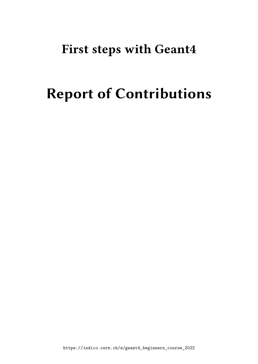## **First steps with Geant4**

# **Report of Contributions**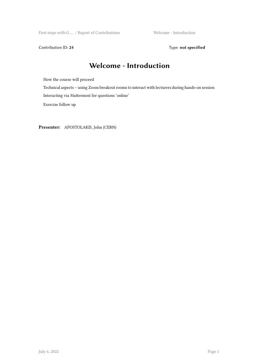First steps with G ... / Report of Contributions Welcome - Introduction

Contribution ID: 24 Type: **not specified** 

#### **Welcome - Introduction**

How the course will proceed

Technical aspects – using Zoom breakout rooms to interact with lecturers during hands-on session

Interacting via Mattermost for questions 'online'

Exercise follow up

**Presenter:** APOSTOLAKIS, John (CERN)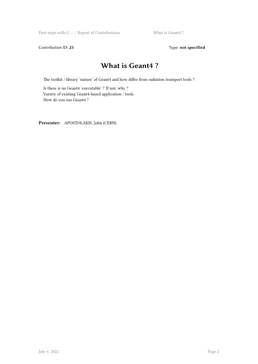First steps with G ... / Report of Contributions What is Geant4 ?

Contribution ID: 25 Type: **not specified** 

#### **What is Geant4 ?**

The toolkit / library 'nature' of Geant4 and how differ from radiation transport tools ?

Is there is no Geant4 'executable' ? If not, why ? Variety of existing Geant4-based application / tools. How do you use Geant4 ?

**Presenter:** APOSTOLAKIS, John (CERN)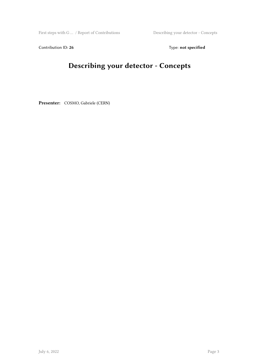First steps with G … / Report of Contributions Describing your detector - Concepts

Contribution ID: 26 Type: **not specified** 

### **Describing your detector - Concepts**

**Presenter:** COSMO, Gabriele (CERN)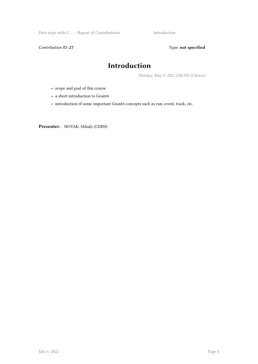First steps with G ... / Report of Contributions Introduction

Contribution ID: 27 Type: **not specified** 

#### **Introduction**

*Monday, May 9, 2022 2:00 PM (2 hours)*

- scope and goal of this course
- a short introduction to Geant4
- introduction of some important Geant4 concepts such as run, event, track, etc.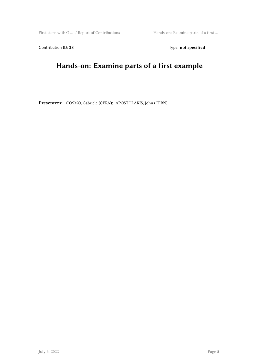First steps with G … / Report of Contributions Hands-on: Examine parts of a first …

Contribution ID: 28 Type: **not specified** 

### **Hands-on: Examine parts of a first example**

**Presenters:** COSMO, Gabriele (CERN); APOSTOLAKIS, John (CERN)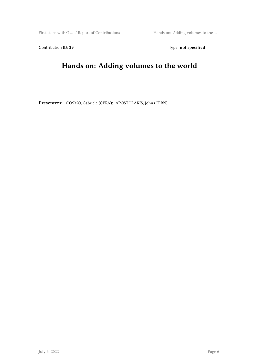First steps with G … / Report of Contributions Hands on: Adding volumes to the …

Contribution ID: 29 Type: **not specified** 

### **Hands on: Adding volumes to the world**

**Presenters:** COSMO, Gabriele (CERN); APOSTOLAKIS, John (CERN)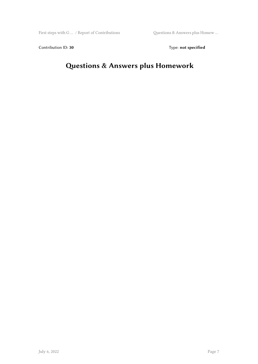Contribution ID: 30 Type: **not specified** 

### **Questions & Answers plus Homework**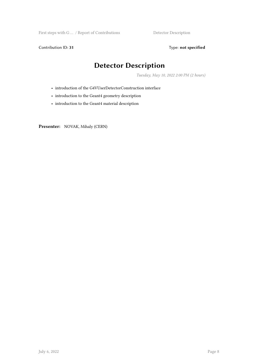First steps with G ... / Report of Contributions Detector Description

Contribution ID: 31 Type: **not specified** 

#### **Detector Description**

*Tuesday, May 10, 2022 2:00 PM (2 hours)*

- introduction of the G4VUserDetectorConstruction interface
- introduction to the Geant4 geometry description
- introduction to the Geant4 material description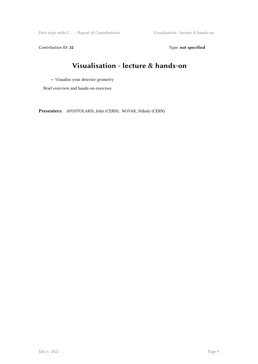First steps with G … / Report of Contributions Visualisation - lecture & hands-on

Contribution ID: 32 Type: **not specified** 

### **Visualisation - lecture & hands-on**

• Visualise your detector geometry

Brief overview and hands-on exercises

**Presenters:** APOSTOLAKIS, John (CERN); NOVAK, Mihaly (CERN)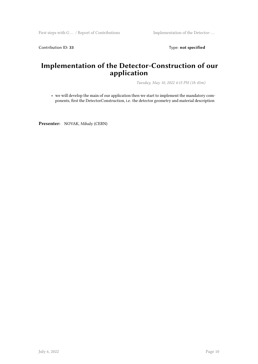Contribution ID: 33 Type: **not specified** 

#### **Implementation of the Detector-Construction of our application**

*Tuesday, May 10, 2022 4:15 PM (1h 45m)*

• we will develop the main of our application then we start to implement the mandatory components, first the DetectorConstruction, i.e. the detector geometry and material description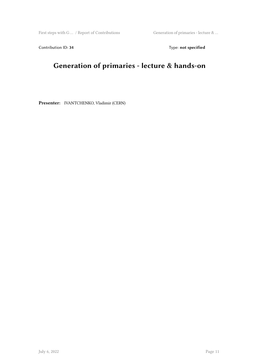First steps with G … / Report of Contributions Generation of primaries - lecture  $\&$  …

Contribution ID: 34 Type: **not specified** 

### **Generation of primaries - lecture & hands-on**

**Presenter:** IVANTCHENKO, Vladimir (CERN)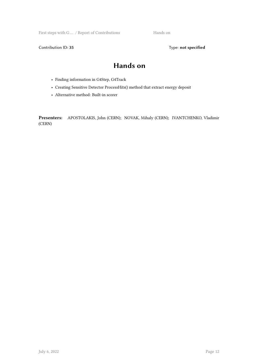First steps with G ... / Report of Contributions Hands on

Contribution ID: 35 Type: **not specified** 

#### **Hands on**

- Finding information in G4Step, G4Track
- Creating Sensitive Detector ProcessHits() method that extract energy deposit
- Alternative method: Built-in scorer

**Presenters:** APOSTOLAKIS, John (CERN); NOVAK, Mihaly (CERN); IVANTCHENKO, Vladimir (CERN)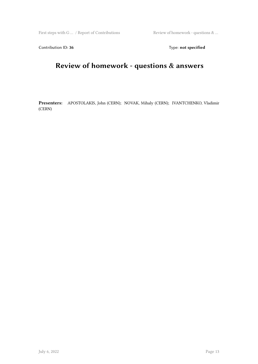First steps with G ... / Report of Contributions Review of homework - questions  $\&$  ...

Contribution ID: 36 Type: **not specified** 

### **Review of homework - questions & answers**

**Presenters:** APOSTOLAKIS, John (CERN); NOVAK, Mihaly (CERN); IVANTCHENKO, Vladimir (CERN)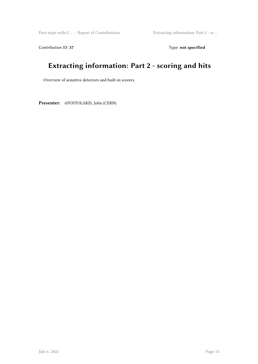First steps with G … / Report of Contributions Extracting information: Part 2 - sc …

Contribution ID: 37 Type: **not specified** 

### **Extracting information: Part 2 - scoring and hits**

Overview of sensitive detectors and built-in scorers.

**Presenter:** APOSTOLAKIS, John (CERN)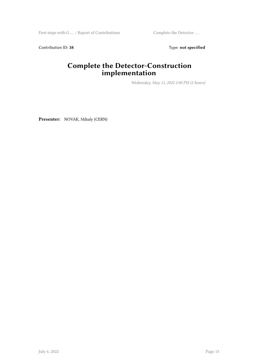First steps with G ... / Report of Contributions Complete the Detector- ...

Contribution ID: 38 Type: **not specified** 

#### **Complete the Detector-Construction implementation**

*Wednesday, May 11, 2022 2:00 PM (2 hours)*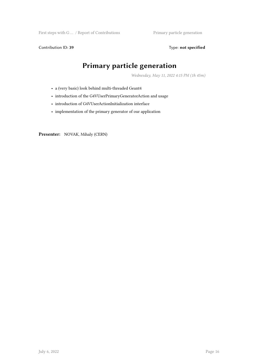First steps with G ... / Report of Contributions Primary particle generation

Contribution ID: 39 Type: **not specified** 

### **Primary particle generation**

*Wednesday, May 11, 2022 4:15 PM (1h 45m)*

- a (very basic) look behind multi-threaded Geant4
- introduction of the G4VUserPrimaryGeneratorAction and usage
- introduction of G4VUserActionInitialization interface
- implementation of the primary generator of our application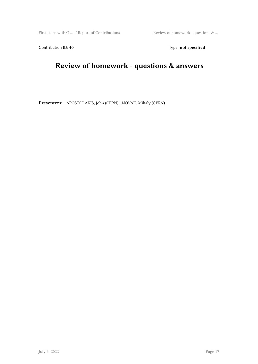First steps with G  $\dots$  / Report of Contributions  $\quad \qquad$  Review of homework - questions  $\& \dots$ 

Contribution ID: 40 **Type:** not specified

### **Review of homework - questions & answers**

**Presenters:** APOSTOLAKIS, John (CERN); NOVAK, Mihaly (CERN)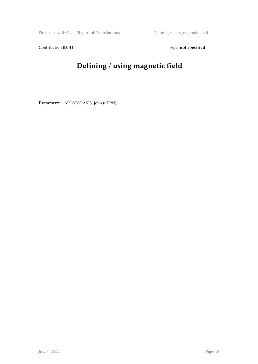First steps with G  $\dots$  / Report of Contributions  $\hfill$  Defining / using magnetic field

Contribution ID: 41 Type: **not specified** 

### **Defining / using magnetic field**

**Presenter:** APOSTOLAKIS, John (CERN)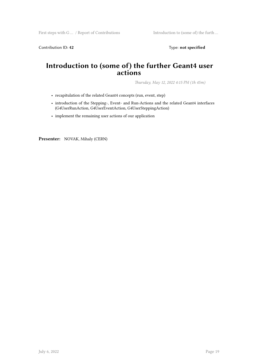Contribution ID: 42 Type: **not specified** 

#### **Introduction to (some of) the further Geant4 user actions**

*Thursday, May 12, 2022 4:15 PM (1h 45m)*

- recapitulation of the related Geant4 concepts (run, event, step)
- introduction of the Stepping-, Event- and Run-Actions and the related Geant4 interfaces (G4UserRunAction, G4UserEventAction, G4UserSteppingAction)
- implement the remaining user actions of our application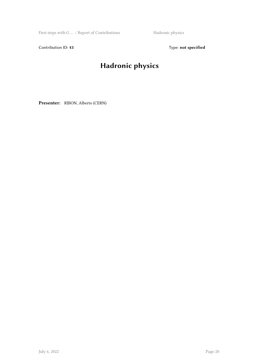First steps with G ... / Report of Contributions Hadronic physics

Contribution ID: 43 Type: **not specified** 

### **Hadronic physics**

**Presenter:** RIBON, Alberto (CERN)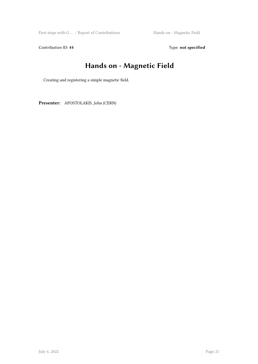First steps with G ... / Report of Contributions Hands on - Magnetic Field

Contribution ID: 44 Type: **not specified** 

### **Hands on - Magnetic Field**

Creating and registering a simple magnetic field.

**Presenter:** APOSTOLAKIS, John (CERN)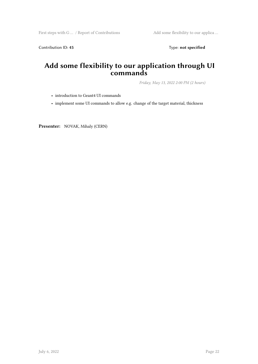Contribution ID: 45 Type: **not specified** 

#### **Add some flexibility to our application through UI commands**

*Friday, May 13, 2022 2:00 PM (2 hours)*

• introduction to Geant4 UI commands

• implement some UI commands to allow e.g. change of the target material, thickness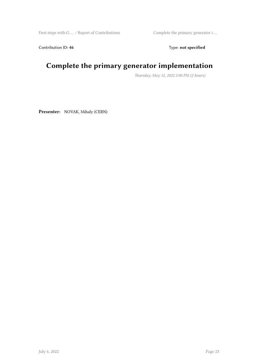First steps with G … / Report of Contributions Complete the primary generator i …

Contribution ID: 46 Type: **not specified** 

### **Complete the primary generator implementation**

*Thursday, May 12, 2022 2:00 PM (2 hours)*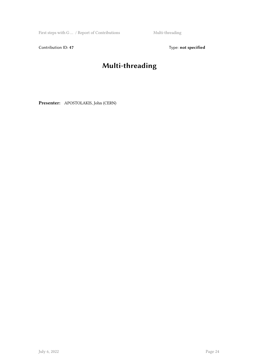First steps with G  $\dots$  / Report of Contributions  $\hfill$  Multi-threading

Contribution ID: 47 Type: **not specified** 

### **Multi-threading**

**Presenter:** APOSTOLAKIS, John (CERN)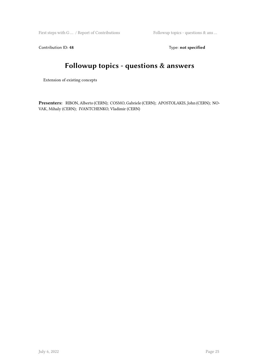First steps with G ... / Report of Contributions Followup topics - questions & ans ...

Contribution ID: 48 Type: **not specified** 

#### **Followup topics - questions & answers**

Extension of existing concepts

**Presenters:** RIBON, Alberto (CERN); COSMO, Gabriele (CERN); APOSTOLAKIS, John (CERN); NO-VAK, Mihaly (CERN); IVANTCHENKO, Vladimir (CERN)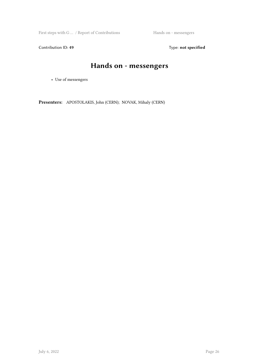First steps with G ... / Report of Contributions Hands on - messengers

Contribution ID: 49 Type: **not specified** 

### **Hands on - messengers**

• Use of messengers

**Presenters:** APOSTOLAKIS, John (CERN); NOVAK, Mihaly (CERN)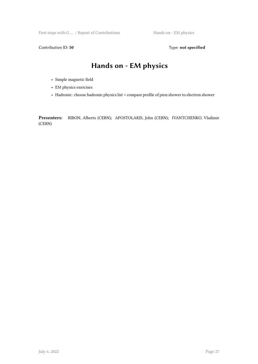First steps with G ... / Report of Contributions Hands on - EM physics

Contribution ID: 50 **Type:** not specified

#### **Hands on - EM physics**

- Simple magnetic field
- EM physics exercises
- Hadronic: choose hadronic physics list + compare profile of pion shower to electron shower

**Presenters:** RIBON, Alberto (CERN); APOSTOLAKIS, John (CERN); IVANTCHENKO, Vladimir (CERN)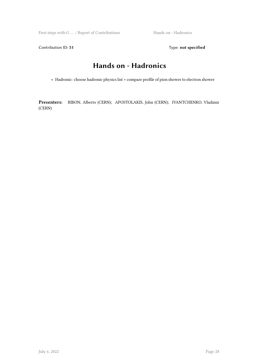First steps with G ... / Report of Contributions Hands on - Hadronics

Contribution ID: 51 Type: **not specified** 

#### **Hands on - Hadronics**

• Hadronic: choose hadronic physics list + compare profile of pion shower to electron shower

**Presenters:** RIBON, Alberto (CERN); APOSTOLAKIS, John (CERN); IVANTCHENKO, Vladimir (CERN)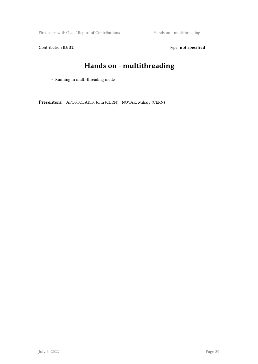First steps with G ... / Report of Contributions Hands on - multithreading

Contribution ID: 52 Type: **not specified** 

### **Hands on - multithreading**

• Running in multi-threading mode

**Presenters:** APOSTOLAKIS, John (CERN); NOVAK, Mihaly (CERN)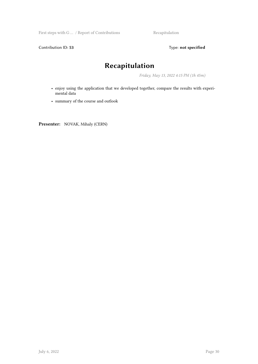First steps with G ... / Report of Contributions Recapitulation

Contribution ID: 53 Type: **not specified** 

#### **Recapitulation**

*Friday, May 13, 2022 4:15 PM (1h 45m)*

- enjoy using the application that we developed together, compare the results with experimental data
- summary of the course and outlook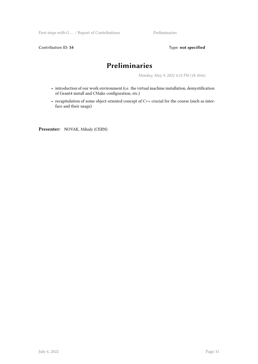First steps with G ... / Report of Contributions Preliminaries

Contribution ID: 54 Type: **not specified** 

#### **Preliminaries**

*Monday, May 9, 2022 4:15 PM (1h 45m)*

- introduction of our work environment (i.e. the virtual machine installation, demystification of Geant4 install and CMake configuration, etc.)
- recapitulation of some object oriented concept of C++ crucial for the course (such as interface and their usage)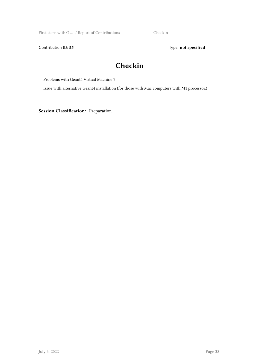First steps with G ... / Report of Contributions Checkin

Contribution ID: 55 Type: **not specified** 

#### **Checkin**

Problems with Geant4 Virtual Machine ?

Issue with alternative Geant4 installation (for those with Mac computers with M1 processor.)

**Session Classification:** Preparation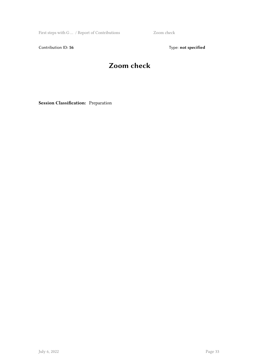First steps with G ... / Report of Contributions Zoom check

Contribution ID: 56 Type: **not specified** 

### **Zoom check**

**Session Classification:** Preparation